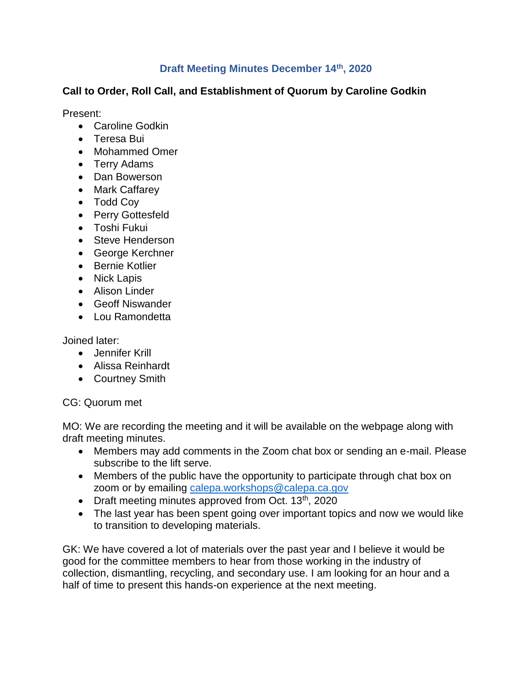### **Draft Meeting Minutes December 14th, 2020**

### **Call to Order, Roll Call, and Establishment of Quorum by Caroline Godkin**

Present:

- Caroline Godkin
- Teresa Bui
- Mohammed Omer
- Terry Adams
- Dan Bowerson
- Mark Caffarey
- Todd Coy
- Perry Gottesfeld
- Toshi Fukui
- Steve Henderson
- George Kerchner
- Bernie Kotlier
- Nick Lapis
- Alison Linder
- Geoff Niswander
- Lou Ramondetta

Joined later:

- Jennifer Krill
- Alissa Reinhardt
- Courtney Smith

#### CG: Quorum met

MO: We are recording the meeting and it will be available on the webpage along with draft meeting minutes.

- Members may add comments in the Zoom chat box or sending an e-mail. Please subscribe to the lift serve.
- Members of the public have the opportunity to participate through chat box on zoom or by emailing [calepa.workshops@calepa.ca.gov](mailto:calepa.workshops@calepa.ca.gov)
- Draft meeting minutes approved from Oct.  $13<sup>th</sup>$ , 2020
- The last year has been spent going over important topics and now we would like to transition to developing materials.

GK: We have covered a lot of materials over the past year and I believe it would be good for the committee members to hear from those working in the industry of collection, dismantling, recycling, and secondary use. I am looking for an hour and a half of time to present this hands-on experience at the next meeting.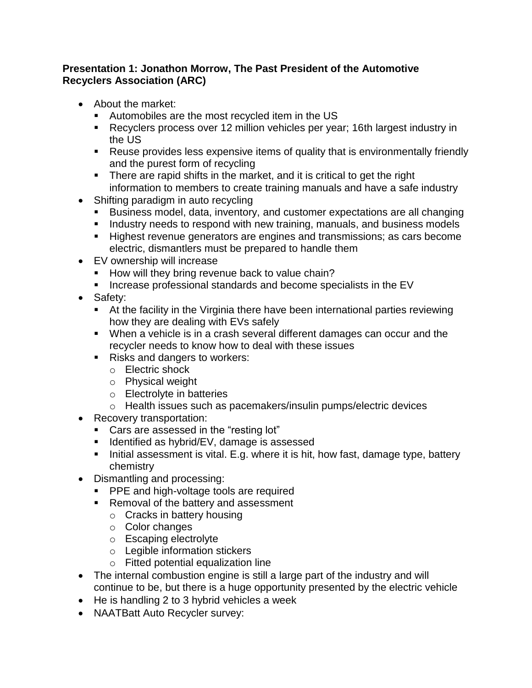### **Presentation 1: Jonathon Morrow, The Past President of the Automotive Recyclers Association (ARC)**

- About the market:
	- Automobiles are the most recycled item in the US
	- Recyclers process over 12 million vehicles per year; 16th largest industry in the US
	- Reuse provides less expensive items of quality that is environmentally friendly and the purest form of recycling
	- There are rapid shifts in the market, and it is critical to get the right information to members to create training manuals and have a safe industry
- Shifting paradigm in auto recycling
	- Business model, data, inventory, and customer expectations are all changing
	- Industry needs to respond with new training, manuals, and business models
	- Highest revenue generators are engines and transmissions; as cars become electric, dismantlers must be prepared to handle them
- EV ownership will increase
	- How will they bring revenue back to value chain?
	- **Increase professional standards and become specialists in the EV**
- Safety:
	- At the facility in the Virginia there have been international parties reviewing how they are dealing with EVs safely
	- When a vehicle is in a crash several different damages can occur and the recycler needs to know how to deal with these issues
	- Risks and dangers to workers:
		- o Electric shock
		- o Physical weight
		- o Electrolyte in batteries
		- o Health issues such as pacemakers/insulin pumps/electric devices
- Recovery transportation:
	- Cars are assessed in the "resting lot"
	- Identified as hybrid/EV, damage is assessed
	- Initial assessment is vital. E.g. where it is hit, how fast, damage type, battery chemistry
- Dismantling and processing:
	- **PPE** and high-voltage tools are required
	- Removal of the battery and assessment
		- o Cracks in battery housing
		- o Color changes
		- o Escaping electrolyte
		- o Legible information stickers
		- o Fitted potential equalization line
- The internal combustion engine is still a large part of the industry and will continue to be, but there is a huge opportunity presented by the electric vehicle
- He is handling 2 to 3 hybrid vehicles a week
- NAATBatt Auto Recycler survey: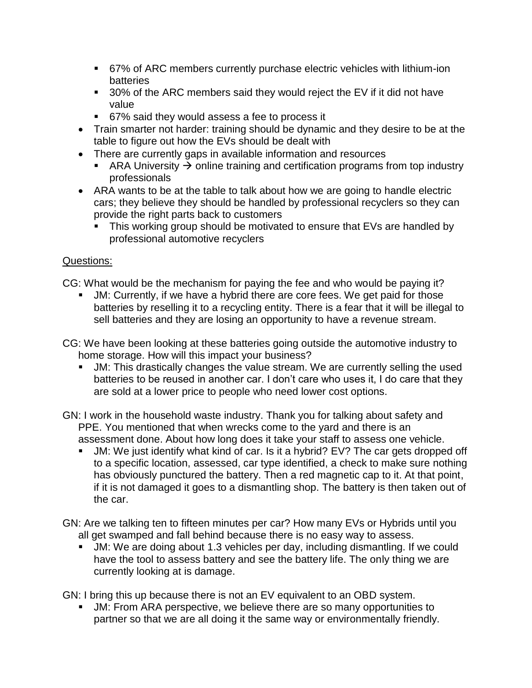- 67% of ARC members currently purchase electric vehicles with lithium-ion batteries
- **30% of the ARC members said they would reject the EV if it did not have** value
- 67% said they would assess a fee to process it
- Train smarter not harder: training should be dynamic and they desire to be at the table to figure out how the EVs should be dealt with
- There are currently gaps in available information and resources
	- ARA University  $\rightarrow$  online training and certification programs from top industry professionals
- ARA wants to be at the table to talk about how we are going to handle electric cars; they believe they should be handled by professional recyclers so they can provide the right parts back to customers
	- **This working group should be motivated to ensure that EVs are handled by** professional automotive recyclers

## Questions:

CG: What would be the mechanism for paying the fee and who would be paying it?

- JM: Currently, if we have a hybrid there are core fees. We get paid for those batteries by reselling it to a recycling entity. There is a fear that it will be illegal to sell batteries and they are losing an opportunity to have a revenue stream.
- CG: We have been looking at these batteries going outside the automotive industry to home storage. How will this impact your business?
	- JM: This drastically changes the value stream. We are currently selling the used batteries to be reused in another car. I don't care who uses it, I do care that they are sold at a lower price to people who need lower cost options.
- GN: I work in the household waste industry. Thank you for talking about safety and PPE. You mentioned that when wrecks come to the yard and there is an assessment done. About how long does it take your staff to assess one vehicle.
	- JM: We just identify what kind of car. Is it a hybrid? EV? The car gets dropped off to a specific location, assessed, car type identified, a check to make sure nothing has obviously punctured the battery. Then a red magnetic cap to it. At that point, if it is not damaged it goes to a dismantling shop. The battery is then taken out of the car.
- GN: Are we talking ten to fifteen minutes per car? How many EVs or Hybrids until you all get swamped and fall behind because there is no easy way to assess.
	- JM: We are doing about 1.3 vehicles per day, including dismantling. If we could have the tool to assess battery and see the battery life. The only thing we are currently looking at is damage.

GN: I bring this up because there is not an EV equivalent to an OBD system.

 JM: From ARA perspective, we believe there are so many opportunities to partner so that we are all doing it the same way or environmentally friendly.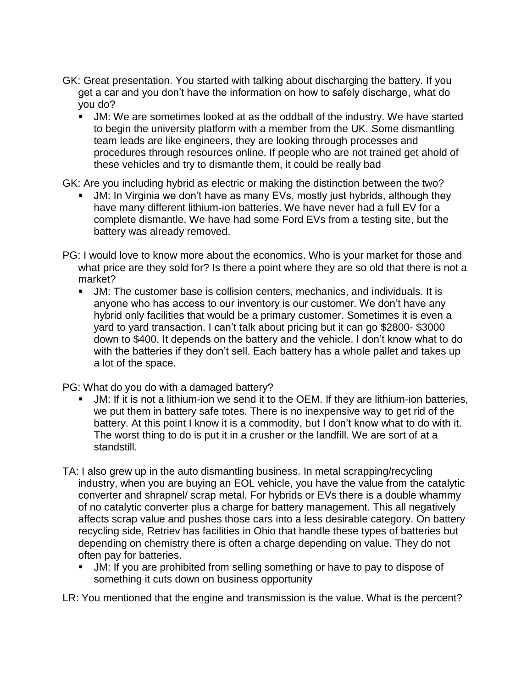- GK: Great presentation. You started with talking about discharging the battery. If you get a car and you don't have the information on how to safely discharge, what do you do?
	- JM: We are sometimes looked at as the oddball of the industry. We have started to begin the university platform with a member from the UK. Some dismantling team leads are like engineers, they are looking through processes and procedures through resources online. If people who are not trained get ahold of these vehicles and try to dismantle them, it could be really bad

GK: Are you including hybrid as electric or making the distinction between the two?

- JM: In Virginia we don't have as many EVs, mostly just hybrids, although they have many different lithium-ion batteries. We have never had a full EV for a complete dismantle. We have had some Ford EVs from a testing site, but the battery was already removed.
- PG: I would love to know more about the economics. Who is your market for those and what price are they sold for? Is there a point where they are so old that there is not a market?
	- JM: The customer base is collision centers, mechanics, and individuals. It is anyone who has access to our inventory is our customer. We don't have any hybrid only facilities that would be a primary customer. Sometimes it is even a yard to yard transaction. I can't talk about pricing but it can go \$2800- \$3000 down to \$400. It depends on the battery and the vehicle. I don't know what to do with the batteries if they don't sell. Each battery has a whole pallet and takes up a lot of the space.

PG: What do you do with a damaged battery?

- JM: If it is not a lithium-ion we send it to the OEM. If they are lithium-ion batteries, we put them in battery safe totes. There is no inexpensive way to get rid of the battery. At this point I know it is a commodity, but I don't know what to do with it. The worst thing to do is put it in a crusher or the landfill. We are sort of at a standstill.
- TA: I also grew up in the auto dismantling business. In metal scrapping/recycling industry, when you are buying an EOL vehicle, you have the value from the catalytic converter and shrapnel/ scrap metal. For hybrids or EVs there is a double whammy of no catalytic converter plus a charge for battery management. This all negatively affects scrap value and pushes those cars into a less desirable category. On battery recycling side, Retriev has facilities in Ohio that handle these types of batteries but depending on chemistry there is often a charge depending on value. They do not often pay for batteries.
	- JM: If you are prohibited from selling something or have to pay to dispose of something it cuts down on business opportunity

LR: You mentioned that the engine and transmission is the value. What is the percent?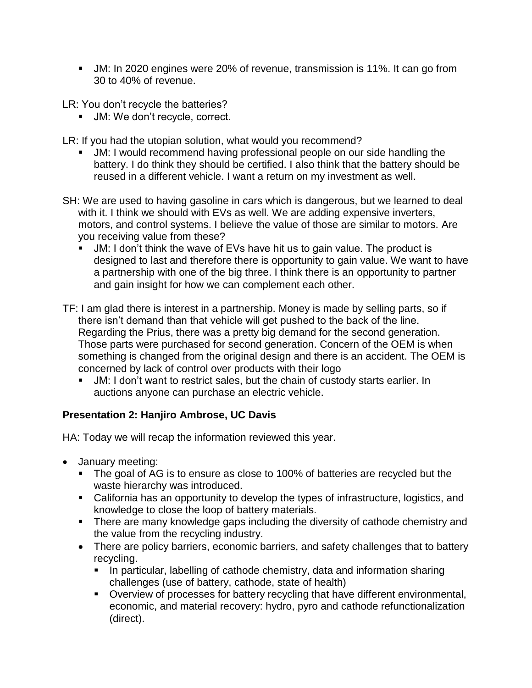JM: In 2020 engines were 20% of revenue, transmission is 11%. It can go from 30 to 40% of revenue.

LR: You don't recycle the batteries?

**JM: We don't recycle, correct.** 

LR: If you had the utopian solution, what would you recommend?

- JM: I would recommend having professional people on our side handling the battery. I do think they should be certified. I also think that the battery should be reused in a different vehicle. I want a return on my investment as well.
- SH: We are used to having gasoline in cars which is dangerous, but we learned to deal with it. I think we should with EVs as well. We are adding expensive inverters, motors, and control systems. I believe the value of those are similar to motors. Are you receiving value from these?
	- JM: I don't think the wave of EVs have hit us to gain value. The product is designed to last and therefore there is opportunity to gain value. We want to have a partnership with one of the big three. I think there is an opportunity to partner and gain insight for how we can complement each other.
- TF: I am glad there is interest in a partnership. Money is made by selling parts, so if there isn't demand than that vehicle will get pushed to the back of the line. Regarding the Prius, there was a pretty big demand for the second generation. Those parts were purchased for second generation. Concern of the OEM is when something is changed from the original design and there is an accident. The OEM is concerned by lack of control over products with their logo
	- JM: I don't want to restrict sales, but the chain of custody starts earlier. In auctions anyone can purchase an electric vehicle.

# **Presentation 2: Hanjiro Ambrose, UC Davis**

HA: Today we will recap the information reviewed this year.

- January meeting:
	- The goal of AG is to ensure as close to 100% of batteries are recycled but the waste hierarchy was introduced.
	- California has an opportunity to develop the types of infrastructure, logistics, and knowledge to close the loop of battery materials.
	- **There are many knowledge gaps including the diversity of cathode chemistry and** the value from the recycling industry.
	- There are policy barriers, economic barriers, and safety challenges that to battery recycling.
		- In particular, labelling of cathode chemistry, data and information sharing challenges (use of battery, cathode, state of health)
		- Overview of processes for battery recycling that have different environmental, economic, and material recovery: hydro, pyro and cathode refunctionalization (direct).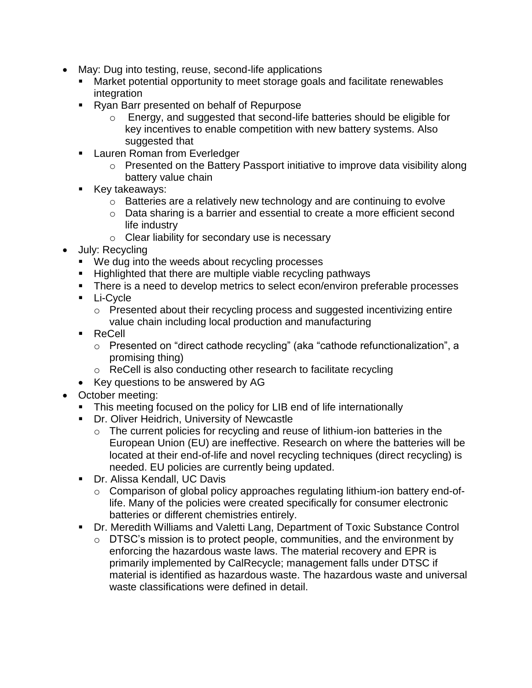- May: Dug into testing, reuse, second-life applications
	- Market potential opportunity to meet storage goals and facilitate renewables integration
	- Ryan Barr presented on behalf of Repurpose
		- o Energy, and suggested that second-life batteries should be eligible for key incentives to enable competition with new battery systems. Also suggested that
	- **Lauren Roman from Everledger** 
		- o Presented on the Battery Passport initiative to improve data visibility along battery value chain
	- **Key takeaways:** 
		- o Batteries are a relatively new technology and are continuing to evolve
		- o Data sharing is a barrier and essential to create a more efficient second life industry
		- o Clear liability for secondary use is necessary
- July: Recycling
	- We dug into the weeds about recycling processes
	- **Highlighted that there are multiple viable recycling pathways**
	- **There is a need to develop metrics to select econ/environ preferable processes**
	- **Li-Cycle** 
		- o Presented about their recycling process and suggested incentivizing entire value chain including local production and manufacturing
	- ReCell
		- o Presented on "direct cathode recycling" (aka "cathode refunctionalization", a promising thing)
		- o ReCell is also conducting other research to facilitate recycling
	- Key questions to be answered by AG
- October meeting:
	- This meeting focused on the policy for LIB end of life internationally
	- **Dr. Oliver Heidrich, University of Newcastle** 
		- o The current policies for recycling and reuse of lithium-ion batteries in the European Union (EU) are ineffective. Research on where the batteries will be located at their end-of-life and novel recycling techniques (direct recycling) is needed. EU policies are currently being updated.
	- **Dr. Alissa Kendall, UC Davis** 
		- o Comparison of global policy approaches regulating lithium-ion battery end-oflife. Many of the policies were created specifically for consumer electronic batteries or different chemistries entirely.
	- Dr. Meredith Williams and Valetti Lang, Department of Toxic Substance Control
		- o DTSC's mission is to protect people, communities, and the environment by enforcing the hazardous waste laws. The material recovery and EPR is primarily implemented by CalRecycle; management falls under DTSC if material is identified as hazardous waste. The hazardous waste and universal waste classifications were defined in detail.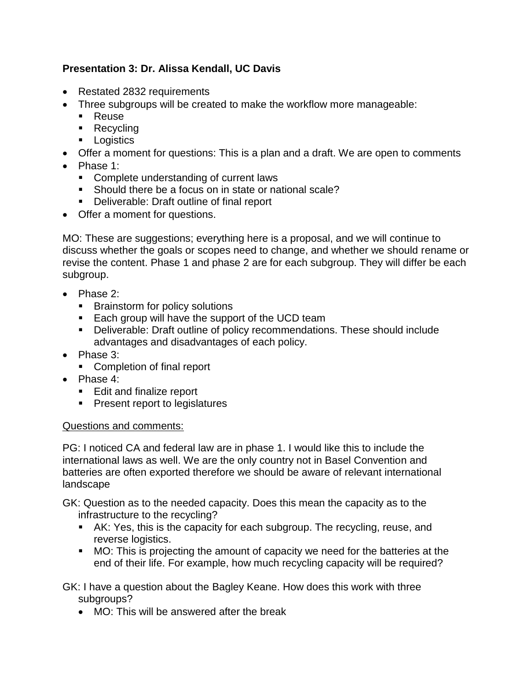# **Presentation 3: Dr. Alissa Kendall, UC Davis**

- Restated 2832 requirements
- Three subgroups will be created to make the workflow more manageable:
	- **Reuse**
	- Recycling
	- **Logistics**
- Offer a moment for questions: This is a plan and a draft. We are open to comments
- Phase 1:
	- **Complete understanding of current laws**
	- Should there be a focus on in state or national scale?
	- **Deliverable: Draft outline of final report**
- Offer a moment for questions.

MO: These are suggestions; everything here is a proposal, and we will continue to discuss whether the goals or scopes need to change, and whether we should rename or revise the content. Phase 1 and phase 2 are for each subgroup. They will differ be each subgroup.

- Phase 2:
	- **Brainstorm for policy solutions**
	- **Each group will have the support of the UCD team**
	- Deliverable: Draft outline of policy recommendations. These should include advantages and disadvantages of each policy.
- Phase 3:
	- Completion of final report
- Phase 4:
	- Edit and finalize report
	- **Present report to legislatures**

#### Questions and comments:

PG: I noticed CA and federal law are in phase 1. I would like this to include the international laws as well. We are the only country not in Basel Convention and batteries are often exported therefore we should be aware of relevant international landscape

GK: Question as to the needed capacity. Does this mean the capacity as to the infrastructure to the recycling?

- AK: Yes, this is the capacity for each subgroup. The recycling, reuse, and reverse logistics.
- MO: This is projecting the amount of capacity we need for the batteries at the end of their life. For example, how much recycling capacity will be required?

GK: I have a question about the Bagley Keane. How does this work with three subgroups?

MO: This will be answered after the break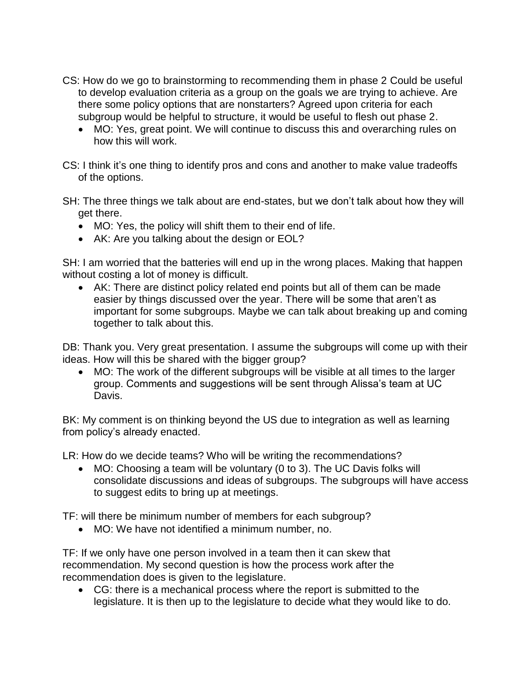- CS: How do we go to brainstorming to recommending them in phase 2 Could be useful to develop evaluation criteria as a group on the goals we are trying to achieve. Are there some policy options that are nonstarters? Agreed upon criteria for each subgroup would be helpful to structure, it would be useful to flesh out phase 2.
	- MO: Yes, great point. We will continue to discuss this and overarching rules on how this will work.
- CS: I think it's one thing to identify pros and cons and another to make value tradeoffs of the options.
- SH: The three things we talk about are end-states, but we don't talk about how they will get there.
	- MO: Yes, the policy will shift them to their end of life.
	- AK: Are you talking about the design or EOL?

SH: I am worried that the batteries will end up in the wrong places. Making that happen without costing a lot of money is difficult.

 AK: There are distinct policy related end points but all of them can be made easier by things discussed over the year. There will be some that aren't as important for some subgroups. Maybe we can talk about breaking up and coming together to talk about this.

DB: Thank you. Very great presentation. I assume the subgroups will come up with their ideas. How will this be shared with the bigger group?

 MO: The work of the different subgroups will be visible at all times to the larger group. Comments and suggestions will be sent through Alissa's team at UC Davis.

BK: My comment is on thinking beyond the US due to integration as well as learning from policy's already enacted.

LR: How do we decide teams? Who will be writing the recommendations?

 MO: Choosing a team will be voluntary (0 to 3). The UC Davis folks will consolidate discussions and ideas of subgroups. The subgroups will have access to suggest edits to bring up at meetings.

TF: will there be minimum number of members for each subgroup?

MO: We have not identified a minimum number, no.

TF: If we only have one person involved in a team then it can skew that recommendation. My second question is how the process work after the recommendation does is given to the legislature.

 CG: there is a mechanical process where the report is submitted to the legislature. It is then up to the legislature to decide what they would like to do.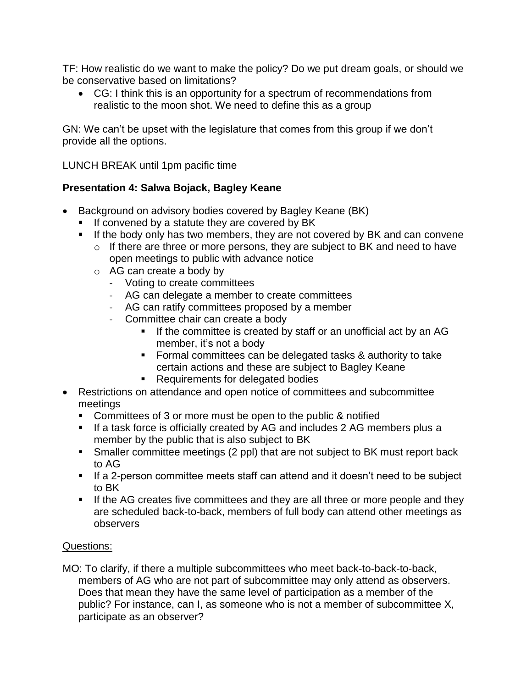TF: How realistic do we want to make the policy? Do we put dream goals, or should we be conservative based on limitations?

 CG: I think this is an opportunity for a spectrum of recommendations from realistic to the moon shot. We need to define this as a group

GN: We can't be upset with the legislature that comes from this group if we don't provide all the options.

LUNCH BREAK until 1pm pacific time

### **Presentation 4: Salwa Bojack, Bagley Keane**

- Background on advisory bodies covered by Bagley Keane (BK)
	- If convened by a statute they are covered by BK
	- If the body only has two members, they are not covered by BK and can convene
		- o If there are three or more persons, they are subject to BK and need to have open meetings to public with advance notice
		- o AG can create a body by
			- Voting to create committees
			- AG can delegate a member to create committees
			- AG can ratify committees proposed by a member
			- Committee chair can create a body
				- If the committee is created by staff or an unofficial act by an AG member, it's not a body
				- **Formal committees can be delegated tasks & authority to take** certain actions and these are subject to Bagley Keane
				- Requirements for delegated bodies
- Restrictions on attendance and open notice of committees and subcommittee meetings
	- Committees of 3 or more must be open to the public & notified
	- If a task force is officially created by AG and includes 2 AG members plus a member by the public that is also subject to BK
	- **Smaller committee meetings (2 ppl) that are not subject to BK must report back** to AG
	- If a 2-person committee meets staff can attend and it doesn't need to be subject to BK
	- **If the AG creates five committees and they are all three or more people and they** are scheduled back-to-back, members of full body can attend other meetings as observers

### Questions:

MO: To clarify, if there a multiple subcommittees who meet back-to-back-to-back, members of AG who are not part of subcommittee may only attend as observers. Does that mean they have the same level of participation as a member of the public? For instance, can I, as someone who is not a member of subcommittee X, participate as an observer?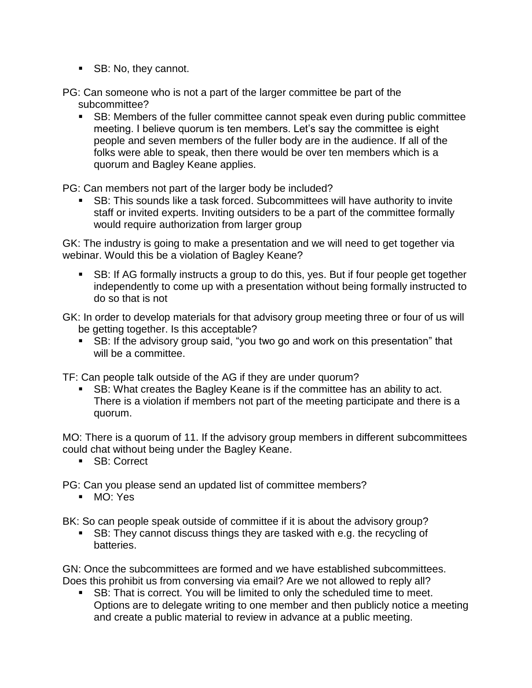SB: No, they cannot.

PG: Can someone who is not a part of the larger committee be part of the subcommittee?

 SB: Members of the fuller committee cannot speak even during public committee meeting. I believe quorum is ten members. Let's say the committee is eight people and seven members of the fuller body are in the audience. If all of the folks were able to speak, then there would be over ten members which is a quorum and Bagley Keane applies.

PG: Can members not part of the larger body be included?

 SB: This sounds like a task forced. Subcommittees will have authority to invite staff or invited experts. Inviting outsiders to be a part of the committee formally would require authorization from larger group

GK: The industry is going to make a presentation and we will need to get together via webinar. Would this be a violation of Bagley Keane?

 SB: If AG formally instructs a group to do this, yes. But if four people get together independently to come up with a presentation without being formally instructed to do so that is not

GK: In order to develop materials for that advisory group meeting three or four of us will be getting together. Is this acceptable?

 SB: If the advisory group said, "you two go and work on this presentation" that will be a committee.

TF: Can people talk outside of the AG if they are under quorum?

 SB: What creates the Bagley Keane is if the committee has an ability to act. There is a violation if members not part of the meeting participate and there is a quorum.

MO: There is a quorum of 11. If the advisory group members in different subcommittees could chat without being under the Bagley Keane.

SB: Correct

PG: Can you please send an updated list of committee members?

**MO: Yes** 

BK: So can people speak outside of committee if it is about the advisory group?

 SB: They cannot discuss things they are tasked with e.g. the recycling of batteries.

GN: Once the subcommittees are formed and we have established subcommittees. Does this prohibit us from conversing via email? Are we not allowed to reply all?

 SB: That is correct. You will be limited to only the scheduled time to meet. Options are to delegate writing to one member and then publicly notice a meeting and create a public material to review in advance at a public meeting.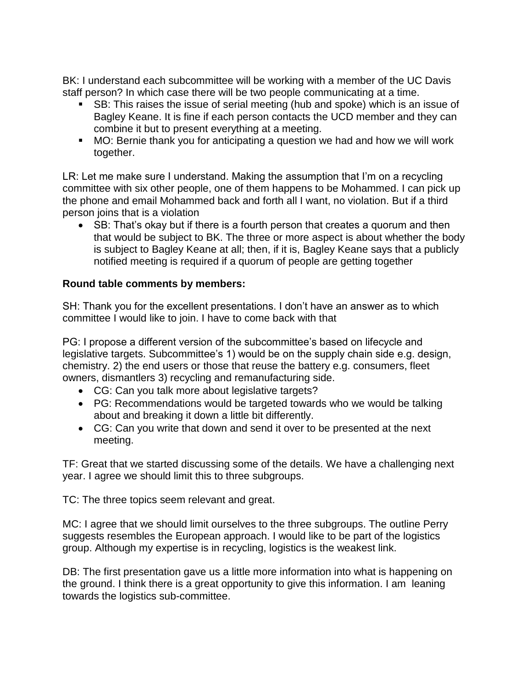BK: I understand each subcommittee will be working with a member of the UC Davis staff person? In which case there will be two people communicating at a time.

- SB: This raises the issue of serial meeting (hub and spoke) which is an issue of Bagley Keane. It is fine if each person contacts the UCD member and they can combine it but to present everything at a meeting.
- MO: Bernie thank you for anticipating a question we had and how we will work together.

LR: Let me make sure I understand. Making the assumption that I'm on a recycling committee with six other people, one of them happens to be Mohammed. I can pick up the phone and email Mohammed back and forth all I want, no violation. But if a third person joins that is a violation

• SB: That's okay but if there is a fourth person that creates a guorum and then that would be subject to BK. The three or more aspect is about whether the body is subject to Bagley Keane at all; then, if it is, Bagley Keane says that a publicly notified meeting is required if a quorum of people are getting together

### **Round table comments by members:**

SH: Thank you for the excellent presentations. I don't have an answer as to which committee I would like to join. I have to come back with that

PG: I propose a different version of the subcommittee's based on lifecycle and legislative targets. Subcommittee's 1) would be on the supply chain side e.g. design, chemistry. 2) the end users or those that reuse the battery e.g. consumers, fleet owners, dismantlers 3) recycling and remanufacturing side.

- CG: Can you talk more about legislative targets?
- PG: Recommendations would be targeted towards who we would be talking about and breaking it down a little bit differently.
- CG: Can you write that down and send it over to be presented at the next meeting.

TF: Great that we started discussing some of the details. We have a challenging next year. I agree we should limit this to three subgroups.

TC: The three topics seem relevant and great.

MC: I agree that we should limit ourselves to the three subgroups. The outline Perry suggests resembles the European approach. I would like to be part of the logistics group. Although my expertise is in recycling, logistics is the weakest link.

DB: The first presentation gave us a little more information into what is happening on the ground. I think there is a great opportunity to give this information. I am leaning towards the logistics sub-committee.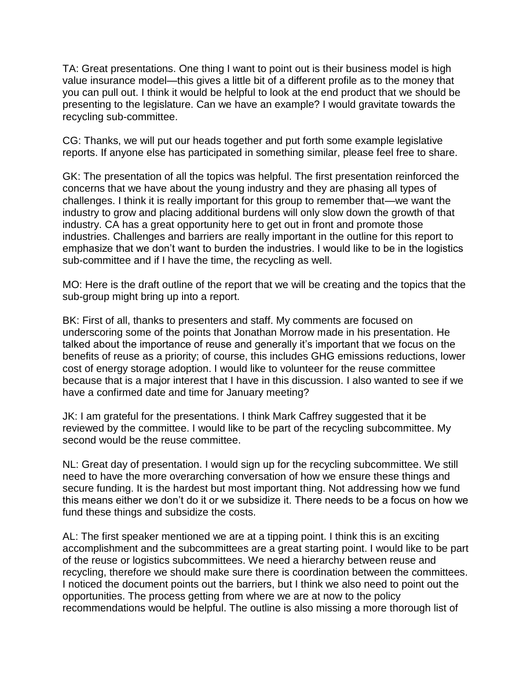TA: Great presentations. One thing I want to point out is their business model is high value insurance model—this gives a little bit of a different profile as to the money that you can pull out. I think it would be helpful to look at the end product that we should be presenting to the legislature. Can we have an example? I would gravitate towards the recycling sub-committee.

CG: Thanks, we will put our heads together and put forth some example legislative reports. If anyone else has participated in something similar, please feel free to share.

GK: The presentation of all the topics was helpful. The first presentation reinforced the concerns that we have about the young industry and they are phasing all types of challenges. I think it is really important for this group to remember that—we want the industry to grow and placing additional burdens will only slow down the growth of that industry. CA has a great opportunity here to get out in front and promote those industries. Challenges and barriers are really important in the outline for this report to emphasize that we don't want to burden the industries. I would like to be in the logistics sub-committee and if I have the time, the recycling as well.

MO: Here is the draft outline of the report that we will be creating and the topics that the sub-group might bring up into a report.

BK: First of all, thanks to presenters and staff. My comments are focused on underscoring some of the points that Jonathan Morrow made in his presentation. He talked about the importance of reuse and generally it's important that we focus on the benefits of reuse as a priority; of course, this includes GHG emissions reductions, lower cost of energy storage adoption. I would like to volunteer for the reuse committee because that is a major interest that I have in this discussion. I also wanted to see if we have a confirmed date and time for January meeting?

JK: I am grateful for the presentations. I think Mark Caffrey suggested that it be reviewed by the committee. I would like to be part of the recycling subcommittee. My second would be the reuse committee.

NL: Great day of presentation. I would sign up for the recycling subcommittee. We still need to have the more overarching conversation of how we ensure these things and secure funding. It is the hardest but most important thing. Not addressing how we fund this means either we don't do it or we subsidize it. There needs to be a focus on how we fund these things and subsidize the costs.

AL: The first speaker mentioned we are at a tipping point. I think this is an exciting accomplishment and the subcommittees are a great starting point. I would like to be part of the reuse or logistics subcommittees. We need a hierarchy between reuse and recycling, therefore we should make sure there is coordination between the committees. I noticed the document points out the barriers, but I think we also need to point out the opportunities. The process getting from where we are at now to the policy recommendations would be helpful. The outline is also missing a more thorough list of